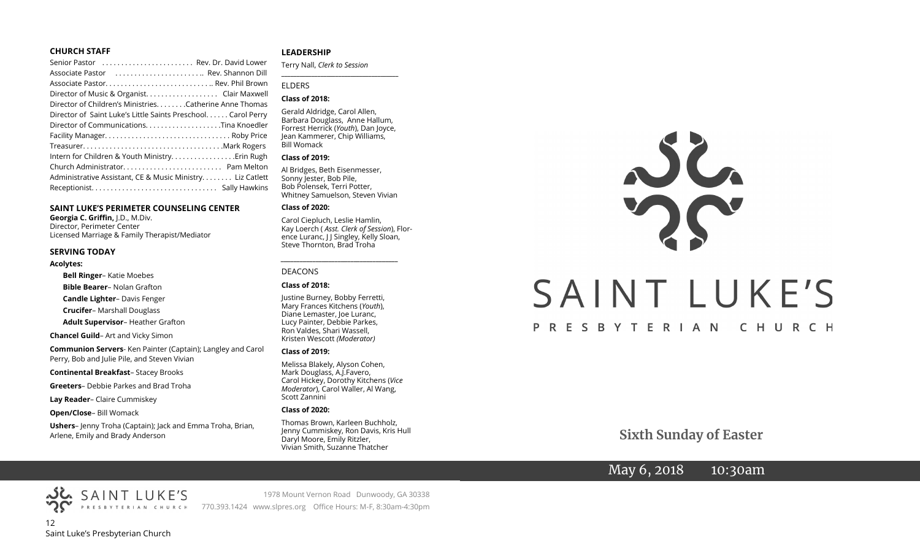#### **CHURCH STAFF**

#### **SAINT LUKE'S PERIMETER COUNSELING CENTER**

**Georgia C. Griffin,** J.D., M.Div. Director, Perimeter Center Licensed Marriage & Family Therapist/Mediator

#### **SERVING TODAY**

#### **Acolytes:**

**Bell Ringer**– Katie Moebes

**Bible Bearer**– Nolan Grafton

**Candle Lighter**– Davis Fenger

**Crucifer**– Marshall Douglass

**Adult Supervisor**– Heather Grafton

**Chancel Guild**– Art and Vicky Simon

**Communion Servers**- Ken Painter (Captain); Langley and Carol Perry, Bob and Julie Pile, and Steven Vivian

**Continental Breakfast**– Stacey Brooks

**Greeters**– Debbie Parkes and Brad Troha

**Lay Reader**– Claire Cummiskey

**Open/Close**– Bill Womack

**Ushers**– Jenny Troha (Captain); Jack and Emma Troha, Brian, Arlene, Emily and Brady Anderson

#### **LEADERSHIP**

Terry Nall, *Clerk to Session* 

**\_\_\_\_\_\_\_\_\_\_\_\_\_\_\_\_\_\_\_\_\_\_\_\_\_\_\_\_\_\_\_\_\_\_\_\_\_\_\_**

#### ELDERS

#### **Class of 2018:**

Gerald Aldridge, Carol Allen, Barbara Douglass, Anne Hallum, Forrest Herrick (*Youth*), Dan Joyce, Jean Kammerer, Chip Williams, Bill Womack

#### **Class of 2019:**

Al Bridges, Beth Eisenmesser, Sonny Jester, Bob Pile, Bob Polensek, Terri Potter, Whitney Samuelson, Steven Vivian

#### **Class of 2020:**

Carol Ciepluch, Leslie Hamlin, Kay Loerch ( *Asst. Clerk of Session*), Florence Luranc, J J Singley, Kelly Sloan, Steve Thornton, Brad Troha

*\_\_\_\_\_\_\_\_\_\_\_\_\_\_\_\_\_\_\_\_\_\_\_\_\_\_\_\_\_\_\_\_\_\_\_\_\_*

#### DEACONS

#### **Class of 2018:**

Justine Burney, Bobby Ferretti, Mary Frances Kitchens (*Youth*), Diane Lemaster, Joe Luranc, Lucy Painter, Debbie Parkes, Ron Valdes, Shari Wassell, Kristen Wescott *(Moderator)*

#### **Class of 2019:**

Melissa Blakely, Alyson Cohen, Mark Douglass, A.J.Favero, Carol Hickey, Dorothy Kitchens (*Vice Moderator*), Carol Waller, Al Wang, Scott Zannini

#### **Class of 2020:**

Thomas Brown, Karleen Buchholz, Jenny Cummiskey, Ron Davis, Kris Hull Daryl Moore, Emily Ritzler, Vivian Smith, Suzanne Thatcher



 **Sixth Sunday of Easter**

# May 6, 2018 10:30am

12 Saint Luke's Presbyterian Church

**كۆكى:** SAINT LUKE'S

1978 Mount Vernon Road Dunwoody, GA 30338 PRESBYTERIAN CHURCH 770.393.1424 www.slpres.org Office Hours: M-F, 8:30am-4:30pm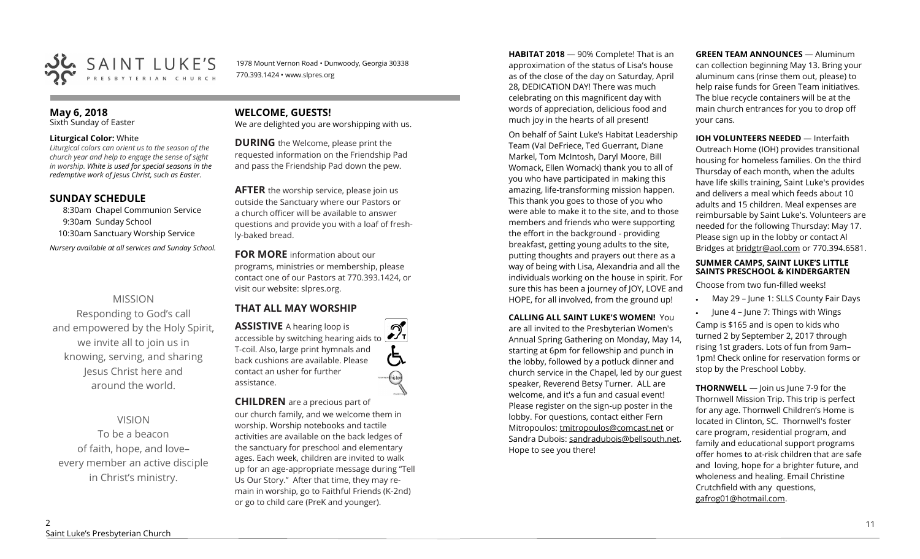

1978 Mount Vernon Road • Dunwoody, Georgia 30338 770.393.1424 • www.slpres.org

#### **May 6, 2018**  Sixth Sunday of Easter

#### **Liturgical Color:** White

*Liturgical colors can orient us to the season of the church year and help to engage the sense of sight in worship. White is used for special seasons in the redemptive work of Jesus Christ, such as Easter.* 

## **SUNDAY SCHEDULE**

8:30am Chapel Communion Service 9:30am Sunday School 10:30am Sanctuary Worship Service *Nursery available at all services and Sunday School.* 

## MISSION

Responding to God's call and empowered by the Holy Spirit, we invite all to join us in knowing, serving, and sharing Jesus Christ here and around the world.

## VISION

To be a beacon of faith, hope, and love– every member an active disciple in Christ's ministry.

# **WELCOME, GUESTS!**

We are delighted you are worshipping with us.

**DURING** the Welcome, please print the requested information on the Friendship Pad and pass the Friendship Pad down the pew.

**AFTER** the worship service, please join us outside the Sanctuary where our Pastors or a church officer will be available to answer questions and provide you with a loaf of freshly-baked bread.

**FOR MORE** information about our programs, ministries or membership, please contact one of our Pastors at 770.393.1424, or visit our website: slpres.org.

## **THAT ALL MAY WORSHIP**

**ASSISTIVE** A hearing loop is  $\mathcal{D}_{\mathrm{r}}$ accessible by switching hearing aids to T-coil. Also, large print hymnals and (气 back cushions are available. Please contact an usher for further assistance.

#### **CHILDREN** are a precious part of our church family, and we welcome them in worship. Worship notebooks and tactile activities are available on the back ledges of the sanctuary for preschool and elementary ages. Each week, children are invited to walk up for an age-appropriate message during "Tell Us Our Story." After that time, they may remain in worship, go to Faithful Friends (K-2nd) or go to child care (PreK and younger).

**HABITAT 2018** — 90% Complete! That is an approximation of the status of Lisa's house as of the close of the day on Saturday, April 28, DEDICATION DAY! There was much celebrating on this magnificent day with words of appreciation, delicious food and much joy in the hearts of all present!

On behalf of Saint Luke's Habitat Leadership Team (Val DeFriece, Ted Guerrant, Diane Markel, Tom McIntosh, Daryl Moore, Bill Womack, Ellen Womack) thank you to all of you who have participated in making this amazing, life-transforming mission happen. This thank you goes to those of you who were able to make it to the site, and to those members and friends who were supporting the effort in the background - providing breakfast, getting young adults to the site, putting thoughts and prayers out there as a way of being with Lisa, Alexandria and all the individuals working on the house in spirit. For sure this has been a journey of JOY, LOVE and HOPE, for all involved, from the ground up!

**CALLING ALL SAINT LUKE'S WOMEN!** You are all invited to the Presbyterian Women's Annual Spring Gathering on Monday, May 14, starting at 6pm for fellowship and punch in the lobby, followed by a potluck dinner and church service in the Chapel, led by our guest speaker, Reverend Betsy Turner. ALL are welcome, and it's a fun and casual event! Please register on the sign-up poster in the lobby. For questions, contact either Fern Mitropoulos: [tmitropoulos@comcast.net](mailto:tmitropoulos@comcast.net) or Sandra Dubois: sandradubois@bellsouth.net. Hope to see you there!

**GREEN TEAM ANNOUNCES** — Aluminum can collection beginning May 13. Bring your aluminum cans (rinse them out, please) to help raise funds for Green Team initiatives. The blue recycle containers will be at the main church entrances for you to drop off your cans.

#### **IOH VOLUNTEERS NEEDED** — Interfaith Outreach Home (IOH) provides transitional housing for homeless families. On the third Thursday of each month, when the adults have life skills training, Saint Luke's provides and delivers a meal which feeds about 10 adults and 15 children. Meal expenses are reimbursable by Saint Luke's. Volunteers are needed for the following Thursday: May 17. Please sign up in the lobby or contact Al Bridges at [bridgtr@aol.com](mailto:bridgtr@aol.com) or 770.394.6581.

#### **SUMMER CAMPS, SAINT LUKE'S LITTLE SAINTS PRESCHOOL & KINDERGARTEN**

Choose from two fun-filled weeks!

- May 29 June 1: SLLS County Fair Days
- $\cdot$  June 4 June 7: Things with Wings

Camp is \$165 and is open to kids who turned 2 by September 2, 2017 through rising 1st graders. Lots of fun from 9am– 1pm! Check online for reservation forms or stop by the Preschool Lobby.

**THORNWELL** — Join us June 7-9 for the Thornwell Mission Trip. This trip is perfect for any age. Thornwell Children's Home is located in Clinton, SC. Thornwell's foster care program, residential program, and family and educational support programs offer homes to at-risk children that are safe and loving, hope for a brighter future, and wholeness and healing. Email Christine Crutchfield with any questions, gafrog01@hotmail.com.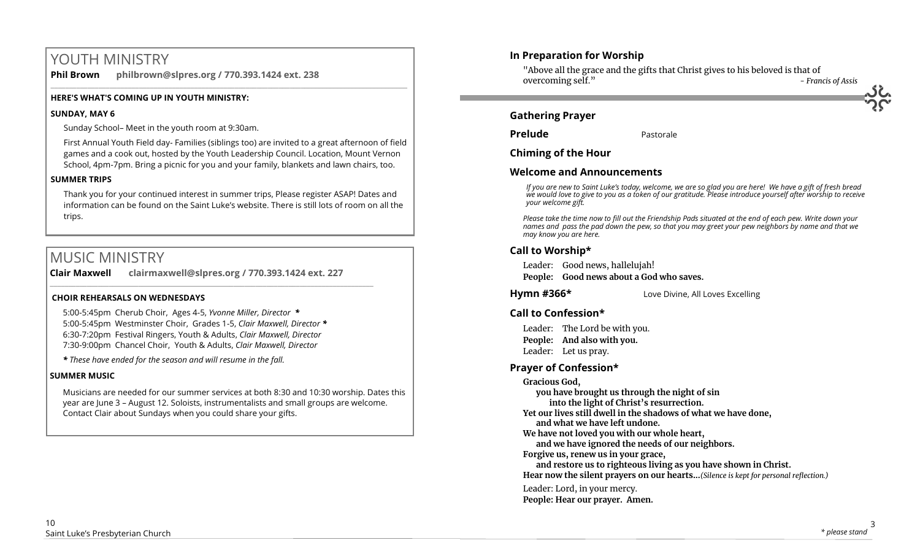# YOUTH MINISTRY

**Phil Brown philbrown@slpres.org / 770.393.1424 ext. 238**   $\_$  ,  $\_$  ,  $\_$  ,  $\_$  ,  $\_$  ,  $\_$  ,  $\_$  ,  $\_$  ,  $\_$  ,  $\_$  ,  $\_$  ,  $\_$  ,  $\_$  ,  $\_$  ,  $\_$  ,  $\_$  ,  $\_$  ,  $\_$  ,  $\_$  ,  $\_$  ,  $\_$  ,  $\_$  ,  $\_$  ,  $\_$  ,  $\_$  ,  $\_$  ,  $\_$  ,  $\_$  ,  $\_$  ,  $\_$  ,  $\_$  ,  $\_$  ,  $\_$  ,  $\_$  ,  $\_$  ,  $\_$  ,  $\_$  ,

## **HERE'S WHAT'S COMING UP IN YOUTH MINISTRY:**

## **SUNDAY, MAY 6**

Sunday School– Meet in the youth room at 9:30am.

First Annual Youth Field day- Families (siblings too) are invited to a great afternoon of field games and a cook out, hosted by the Youth Leadership Council. Location, Mount Vernon School, 4pm-7pm. Bring a picnic for you and your family, blankets and lawn chairs, too.

### **SUMMER TRIPS**

Thank you for your continued interest in summer trips, Please register ASAP! Dates and information can be found on the Saint Luke's website. There is still lots of room on all the trips.

# MUSIC MINISTRY

**Clair Maxwell clairmaxwell@slpres.org / 770.393.1424 ext. 227**   $\_$  , and the set of the set of the set of the set of the set of the set of the set of the set of the set of the set of the set of the set of the set of the set of the set of the set of the set of the set of the set of th

### **CHOIR REHEARSALS ON WEDNESDAYS**

5:00-5:45pm Cherub Choir, Ages 4-5, *Yvonne Miller, Director \** 5:00-5:45pm Westminster Choir, Grades 1-5, *Clair Maxwell, Director \**  6:30-7:20pm Festival Ringers, Youth & Adults, *Clair Maxwell, Director*  7:30-9:00pm Chancel Choir, Youth & Adults, *Clair Maxwell, Director* 

*\* These have ended for the season and will resume in the fall.*

### **SUMMER MUSIC**

Musicians are needed for our summer services at both 8:30 and 10:30 worship. Dates this year are June 3 – August 12. Soloists, instrumentalists and small groups are welcome. Contact Clair about Sundays when you could share your gifts.

## **In Preparation for Worship**

"Above all the grace and the gifts that Christ gives to his beloved is that of overcoming self." *- Francis of Assis*

**Gathering Prayer** 

**Prelude** Pastorale

**Chiming of the Hour**

## **Welcome and Announcements**

*If you are new to Saint Luke's today, welcome, we are so glad you are here! We have a gift of fresh bread we would love to give to you as a token of our gratitude. Please introduce yourself after worship to receive your welcome gift.*

*Please take the time now to fill out the Friendship Pads situated at the end of each pew. Write down your names and pass the pad down the pew, so that you may greet your pew neighbors by name and that we may know you are here.*

## **Call to Worship\***

Leader: Good news, hallelujah!

**People: Good news about a God who saves.**

**Hymn #366\*** Love Divine, All Loves Excelling

## **Call to Confession\***

Leader: The Lord be with you. **People: And also with you.** Leader: Let us pray.

## **Prayer of Confession\***

**Gracious God,** 

**you have brought us through the night of sin** 

**into the light of Christ's resurrection.** 

**Yet our lives still dwell in the shadows of what we have done,**

**and what we have left undone.** 

**We have not loved you with our whole heart,** 

**and we have ignored the needs of our neighbors.**

**Forgive us, renew us in your grace,** 

**and restore us to righteous living as you have shown in Christ. Hear now the silent prayers on our hearts...***(Silence is kept for personal reflection.)*

Leader: Lord, in your mercy. **People: Hear our prayer. Amen.**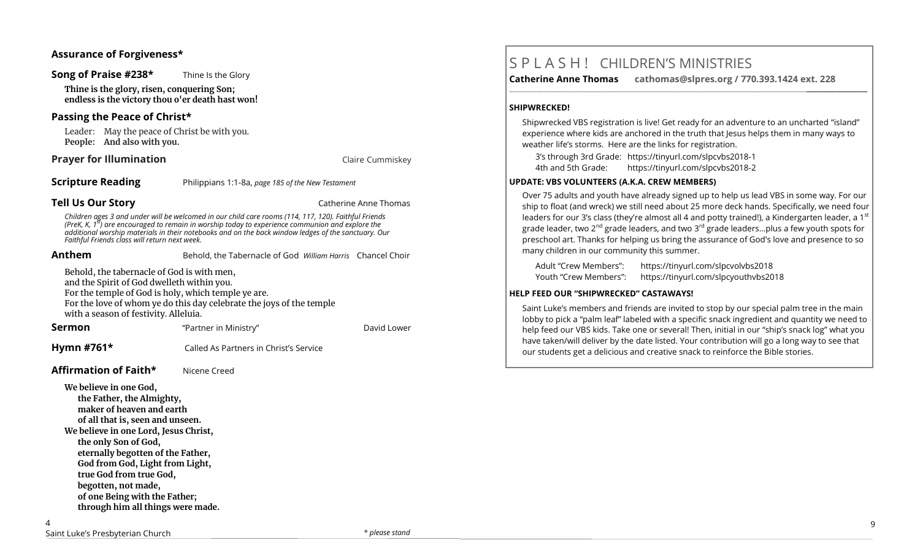#### **Assurance of Forgiveness\***

| Song of Praise #238*                             | Thine Is the Glory |
|--------------------------------------------------|--------------------|
| Thine is the glory, risen, conquering Son;       |                    |
| endless is the victory thou o'er death hast won! |                    |

## **Passing the Peace of Christ\***

Leader: May the peace of Christ be with you. **People: And also with you.** 

#### **Prayer for Illumination Claire Cummiskey Claire Cummiskey**

#### **Scripture Reading** Philippians 1:1-8a, *page 185 of the New Testament*

**Tell Us Our Story** Catherine Anne Thomas

Children ages 3 and under will be welcomed in our child care rooms (114, 117, 120). Faithful Friends<br>(PreK, K, 1<sup>st</sup>) are encouraged to remain in worship today to experience communion and explore the *additional worship materials in their notebooks and on the back window ledges of the sanctuary. Our Faithful Friends class will return next week.*

**Anthem** Behold, the Tabernacle of God *William Harris* Chancel Choir

Behold, the tabernacle of God is with men, and the Spirit of God dwelleth within you. For the temple of God is holy, which temple ye are. For the love of whom ye do this day celebrate the joys of the temple with a season of festivity. Alleluia.

**Sermon Example 3 Partner in Ministry" Partner in Ministry Partner in Ministry Partner in Ministry Partner in Ministry Partner in Ministry Partner in Ministry Partner in Ministry Partner in Ministry P** 

**Hymn #761\*** Called As Partners in Christ's Service

**Affirmation of Faith\*** Nicene Creed

**We believe in one God, the Father, the Almighty, maker of heaven and earth of all that is, seen and unseen. We believe in one Lord, Jesus Christ, the only Son of God, eternally begotten of the Father, God from God, Light from Light, true God from true God, begotten, not made, of one Being with the Father; through him all things were made.**

# S P L A S H ! CHILDREN'S MINISTRIES

**Catherine Anne Thomas cathomas@slpres.org / 770.393.1424 ext. 228** 

#### **SHIPWRECKED!**

Shipwrecked VBS registration is live! Get ready for an adventure to an uncharted "island" experience where kids are anchored in the truth that Jesus helps them in many ways to weather life's storms. Here are the links for registration.

**\_\_\_\_\_\_\_\_\_\_\_\_\_\_\_\_\_\_\_\_\_\_\_\_\_\_\_\_\_\_\_\_\_\_\_\_\_\_\_\_\_\_\_\_\_\_\_\_\_\_\_\_\_\_\_\_\_\_\_\_\_\_\_\_\_\_\_\_\_\_\_\_\_\_\_\_\_\_\_\_\_\_\_\_\_\_\_\_\_\_\_\_\_\_\_\_\_\_\_\_\_\_\_\_\_\_** 

3's through 3rd Grade: https://tinyurl.com/slpcvbs2018-1 4th and 5th Grade: https://tinyurl.com/slpcvbs2018-2

#### **UPDATE: VBS VOLUNTEERS (A.K.A. CREW MEMBERS)**

Over 75 adults and youth have already signed up to help us lead VBS in some way. For our ship to float (and wreck) we still need about 25 more deck hands. Specifically, we need four leaders for our 3's class (they're almost all 4 and potty trained!), a Kindergarten leader, a 1<sup>st</sup> grade leader, two  $2^{nd}$  grade leaders, and two  $3^{rd}$  grade leaders...plus a few youth spots for preschool art. Thanks for helping us bring the assurance of God's love and presence to so many children in our community this summer.

| Adult "Crew Members": | https://tinyurl.com/slpcvolvbs2018   |
|-----------------------|--------------------------------------|
| Youth "Crew Members": | https://tinyurl.com/slpcyouthvbs2018 |

#### **HELP FEED OUR "SHIPWRECKED" CASTAWAYS!**

Saint Luke's members and friends are invited to stop by our special palm tree in the main lobby to pick a "palm leaf" labeled with a specific snack ingredient and quantity we need to help feed our VBS kids. Take one or several! Then, initial in our "ship's snack log" what you have taken/will deliver by the date listed. Your contribution will go a long way to see that our students get a delicious and creative snack to reinforce the Bible stories.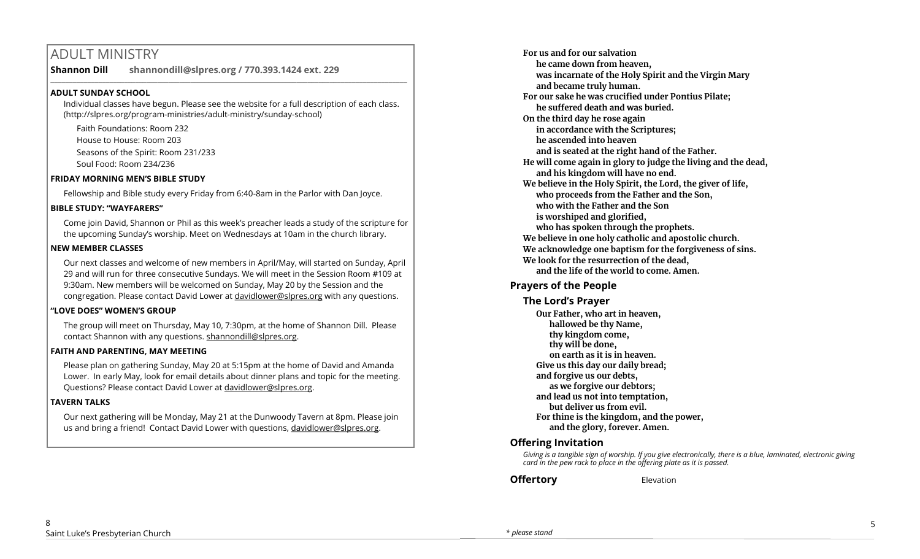# ADULT MINISTRY

**Shannon Dill shannondill@slpres.org / 770.393.1424 ext. 229**   $\_$  ,  $\_$  ,  $\_$  ,  $\_$  ,  $\_$  ,  $\_$  ,  $\_$  ,  $\_$  ,  $\_$  ,  $\_$  ,  $\_$  ,  $\_$  ,  $\_$  ,  $\_$  ,  $\_$  ,  $\_$  ,  $\_$  ,  $\_$  ,  $\_$  ,  $\_$ 

## **ADULT SUNDAY SCHOOL**

Individual classes have begun. Please see the website for a full description of each class. (http://slpres.org/program-ministries/adult-ministry/sunday-school)

Faith Foundations: Room 232 House to House: Room 203 Seasons of the Spirit: Room 231/233 Soul Food: Room 234/236

## **FRIDAY MORNING MEN'S BIBLE STUDY**

Fellowship and Bible study every Friday from 6:40-8am in the Parlor with Dan Joyce.

## **BIBLE STUDY: "WAYFARERS"**

Come join David, Shannon or Phil as this week's preacher leads a study of the scripture for the upcoming Sunday's worship. Meet on Wednesdays at 10am in the church library.

## **NEW MEMBER CLASSES**

Our next classes and welcome of new members in April/May, will started on Sunday, April 29 and will run for three consecutive Sundays. We will meet in the Session Room #109 at 9:30am. New members will be welcomed on Sunday, May 20 by the Session and the congregation. Please contact David Lower at davidlower@slpres.org with any questions.

### **"LOVE DOES" WOMEN'S GROUP**

The group will meet on Thursday, May 10, 7:30pm, at the home of Shannon Dill. Please contact Shannon with any questions. shannondill@slpres.org.

## **FAITH AND PARENTING, MAY MEETING**

Please plan on gathering Sunday, May 20 at 5:15pm at the home of David and Amanda Lower. In early May, look for email details about dinner plans and topic for the meeting. Questions? Please contact David Lower at davidlower@slpres.org.

## **TAVERN TALKS**

Our next gathering will be Monday, May 21 at the Dunwoody Tavern at 8pm. Please join us and bring a friend! Contact David Lower with questions, davidlower@slpres.org.

**For us and for our salvation he came down from heaven, was incarnate of the Holy Spirit and the Virgin Mary and became truly human. For our sake he was crucified under Pontius Pilate; he suffered death and was buried. On the third day he rose again in accordance with the Scriptures; he ascended into heaven and is seated at the right hand of the Father. He will come again in glory to judge the living and the dead, and his kingdom will have no end. We believe in the Holy Spirit, the Lord, the giver of life, who proceeds from the Father and the Son, who with the Father and the Son is worshiped and glorified, who has spoken through the prophets. We believe in one holy catholic and apostolic church. We acknowledge one baptism for the forgiveness of sins. We look for the resurrection of the dead, and the life of the world to come. Amen.**

## **Prayers of the People**

## **The Lord's Prayer**

**Our Father, who art in heaven, hallowed be thy Name, thy kingdom come, thy will be done, on earth as it is in heaven. Give us this day our daily bread; and forgive us our debts, as we forgive our debtors; and lead us not into temptation, but deliver us from evil. For thine is the kingdom, and the power, and the glory, forever. Amen.** 

## **Offering Invitation**

*Giving is a tangible sign of worship. If you give electronically, there is a blue, laminated, electronic giving card in the pew rack to place in the offering plate as it is passed.*

**Offertory** Elevation